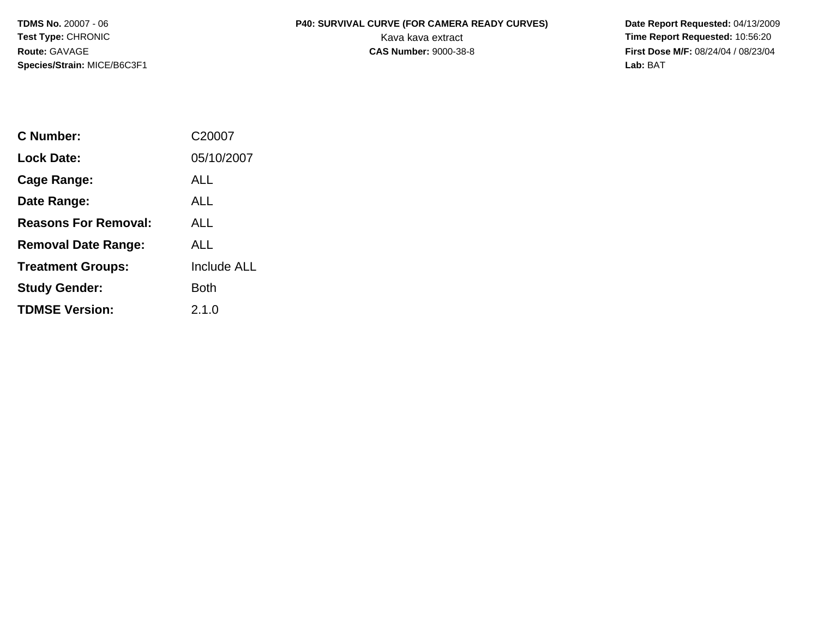**Species/Strain:** MICE/B6C3F1 **Lab:** BAT

## TDMS No. 20007 - 06 **P40: SURVIVAL CURVE (FOR CAMERA READY CURVES)** Date Report Requested: 04/13/2009 **Test Type: CHRONIC** CHRONIC CHRONIC CHRONIC CHARGE CHARGE CHARGE CHARGE CHARGE CHARGE CHARGE CHARGE CHARGE CHARGE CHARGE CHARGE CHARGE CHARGE CHARGE CHARGE CHARGE CHARGE CHARGE CHARGE CHARGE CHARGE CHARGE CHARGE CHARGE CH

**Route:** GAVAGE **CAS Number:** 9000-38-8 **First Dose M/F:** 08/24/04 / 08/23/04

| C Number:                   | C20007             |
|-----------------------------|--------------------|
| <b>Lock Date:</b>           | 05/10/2007         |
| <b>Cage Range:</b>          | ALL                |
| Date Range:                 | ALL                |
| <b>Reasons For Removal:</b> | ALL                |
| <b>Removal Date Range:</b>  | ALL                |
| <b>Treatment Groups:</b>    | <b>Include ALL</b> |
| <b>Study Gender:</b>        | Both               |
| <b>TDMSE Version:</b>       | 2.1.0              |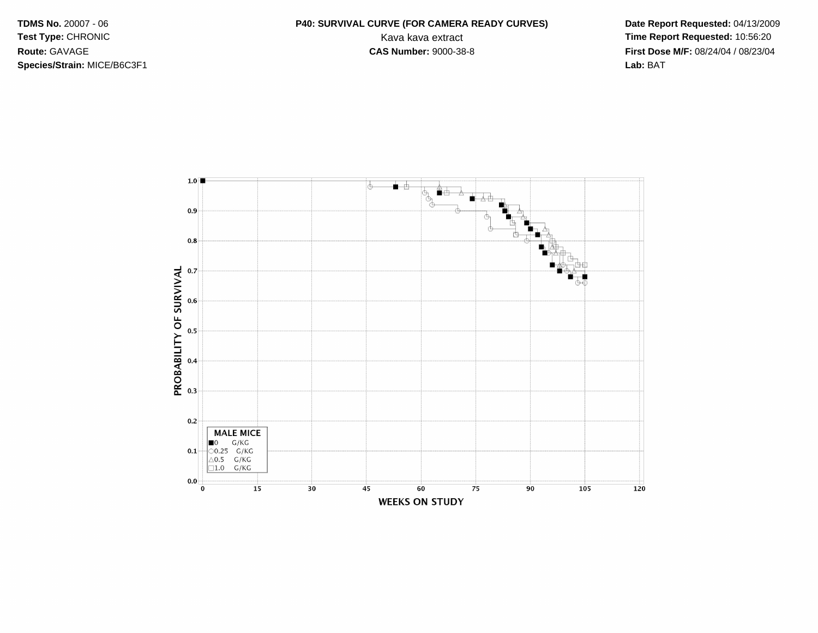**Species/Strain:** MICE/B6C3F1 **Lab:** BAT

## **TDMS No.** 20007 - 06 **P40: SURVIVAL CURVE (FOR CAMERA READY CURVES) Date Report Requested:** 04/13/2009 **Test Type: CHRONIC** CHRONIC CHRONIC CHRONIC CHARGE CHARGE CHARGE CHARGE CHARGE CHARGE CHARGE CHARGE CHARGE CHARGE CHARGE CHARGE CHARGE CHARGE CHARGE CHARGE CHARGE CHARGE CHARGE CHARGE CHARGE CHARGE CHARGE CHARGE CHARGE CH **Route:** GAVAGE **CAS Number:** 9000-38-8 **First Dose M/F:** 08/24/04 / 08/23/04